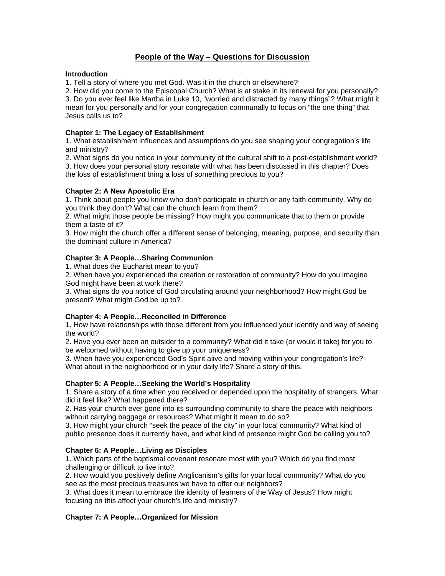# **People of the Way – Questions for Discussion**

#### **Introduction**

1. Tell a story of where you met God. Was it in the church or elsewhere?

2. How did you come to the Episcopal Church? What is at stake in its renewal for you personally? 3. Do you ever feel like Martha in Luke 10, "worried and distracted by many things"? What might it mean for you personally and for your congregation communally to focus on "the one thing" that Jesus calls us to?

### **Chapter 1: The Legacy of Establishment**

1. What establishment influences and assumptions do you see shaping your congregation's life and ministry?

2. What signs do you notice in your community of the cultural shift to a post-establishment world? 3. How does your personal story resonate with what has been discussed in this chapter? Does the loss of establishment bring a loss of something precious to you?

### **Chapter 2: A New Apostolic Era**

1. Think about people you know who don't participate in church or any faith community. Why do you think they don't? What can the church learn from them?

2. What might those people be missing? How might you communicate that to them or provide them a taste of it?

3. How might the church offer a different sense of belonging, meaning, purpose, and security than the dominant culture in America?

# **Chapter 3: A People…Sharing Communion**

1. What does the Eucharist mean to you?

2. When have you experienced the creation or restoration of community? How do you imagine God might have been at work there?

3. What signs do you notice of God circulating around your neighborhood? How might God be present? What might God be up to?

# **Chapter 4: A People…Reconciled in Difference**

1. How have relationships with those different from you influenced your identity and way of seeing the world?

2. Have you ever been an outsider to a community? What did it take (or would it take) for you to be welcomed without having to give up your uniqueness?

3. When have you experienced God's Spirit alive and moving within your congregation's life? What about in the neighborhood or in your daily life? Share a story of this.

#### **Chapter 5: A People…Seeking the World's Hospitality**

1. Share a story of a time when you received or depended upon the hospitality of strangers. What did it feel like? What happened there?

2. Has your church ever gone into its surrounding community to share the peace with neighbors without carrying baggage or resources? What might it mean to do so?

3. How might your church "seek the peace of the city" in your local community? What kind of public presence does it currently have, and what kind of presence might God be calling you to?

# **Chapter 6: A People…Living as Disciples**

1. Which parts of the baptismal covenant resonate most with you? Which do you find most challenging or difficult to live into?

2. How would you positively define Anglicanism's gifts for your local community? What do you see as the most precious treasures we have to offer our neighbors?

3. What does it mean to embrace the identity of learners of the Way of Jesus? How might focusing on this affect your church's life and ministry?

#### **Chapter 7: A People…Organized for Mission**